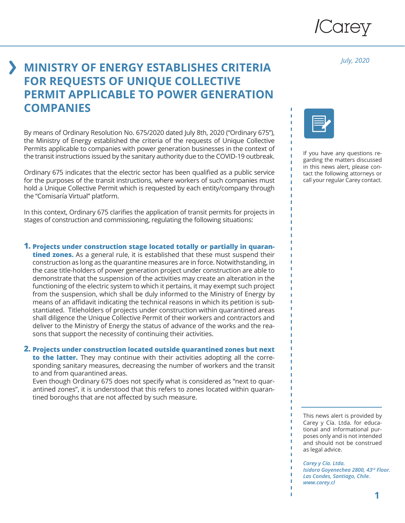## */Carey*

*July, 2020*

## **MINISTRY OF ENERGY ESTABLISHES CRITERIA FOR REQUESTS OF UNIQUE COLLECTIVE PERMIT APPLICABLE TO POWER GENERATION COMPANIES**

By means of Ordinary Resolution No. 675/2020 dated July 8th, 2020 ("Ordinary 675"), the Ministry of Energy established the criteria of the requests of Unique Collective Permits applicable to companies with power generation businesses in the context of the transit instructions issued by the sanitary authority due to the COVID-19 outbreak.

Ordinary 675 indicates that the electric sector has been qualified as a public service for the purposes of the transit instructions, where workers of such companies must hold a Unique Collective Permit which is requested by each entity/company through the "Comisaría Virtual" platform.

In this context, Ordinary 675 clarifies the application of transit permits for projects in stages of construction and commissioning, regulating the following situations:

**Projects under construction stage located totally or partially in quaran-1. tined zones.** As a general rule, it is established that these must suspend their construction as long as the quarantine measures are in force. Notwithstanding, in the case title-holders of power generation project under construction are able to demonstrate that the suspension of the activities may create an alteration in the functioning of the electric system to which it pertains, it may exempt such project from the suspension, which shall be duly informed to the Ministry of Energy by means of an affidavit indicating the technical reasons in which its petition is substantiated. Titleholders of projects under construction within quarantined areas shall diligence the Unique Collective Permit of their workers and contractors and deliver to the Ministry of Energy the status of advance of the works and the reasons that support the necessity of continuing their activities.

**Projects under construction located outside quarantined zones but next 2.** 

**to the latter.** They may continue with their activities adopting all the corresponding sanitary measures, decreasing the number of workers and the transit to and from quarantined areas.

Even though Ordinary 675 does not specify what is considered as "next to quarantined zones", it is understood that this refers to zones located within quarantined boroughs that are not affected by such measure.



п

If you have any questions regarding the matters discussed in this news alert, please contact the following attorneys or call your regular Carey contact.

This news alert is provided by Carey y Cía. Ltda. for educational and informational purposes only and is not intended and should not be construed as legal advice.

*Carey y Cía. Ltda. Isidora Goyenechea 2800, 43rd Floor. Las Condes, Santiago, Chile. www.carey.cl*